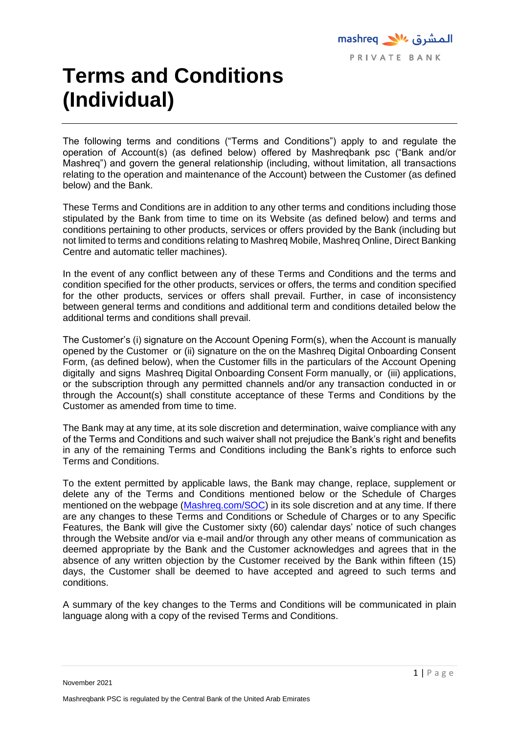# **Terms and Conditions (Individual)**

The following terms and conditions ("Terms and Conditions") apply to and regulate the operation of Account(s) (as defined below) offered by Mashreqbank psc ("Bank and/or Mashreq") and govern the general relationship (including, without limitation, all transactions relating to the operation and maintenance of the Account) between the Customer (as defined below) and the Bank.

These Terms and Conditions are in addition to any other terms and conditions including those stipulated by the Bank from time to time on its Website (as defined below) and terms and conditions pertaining to other products, services or offers provided by the Bank (including but not limited to terms and conditions relating to Mashreq Mobile, Mashreq Online, Direct Banking Centre and automatic teller machines).

In the event of any conflict between any of these Terms and Conditions and the terms and condition specified for the other products, services or offers, the terms and condition specified for the other products, services or offers shall prevail. Further, in case of inconsistency between general terms and conditions and additional term and conditions detailed below the additional terms and conditions shall prevail.

The Customer's (i) signature on the Account Opening Form(s), when the Account is manually opened by the Customer or (ii) signature on the on the Mashreq Digital Onboarding Consent Form, (as defined below), when the Customer fills in the particulars of the Account Opening digitally and signs Mashreq Digital Onboarding Consent Form manually, or (iii) applications, or the subscription through any permitted channels and/or any transaction conducted in or through the Account(s) shall constitute acceptance of these Terms and Conditions by the Customer as amended from time to time.

The Bank may at any time, at its sole discretion and determination, waive compliance with any of the Terms and Conditions and such waiver shall not prejudice the Bank's right and benefits in any of the remaining Terms and Conditions including the Bank's rights to enforce such Terms and Conditions.

To the extent permitted by applicable laws, the Bank may change, replace, supplement or delete any of the Terms and Conditions mentioned below or the Schedule of Charges mentioned on the webpage [\(Mashreq.com/SOC\)](https://www.mashreqbank.com/uae/en/private-banking/images/PrivateBanking-SOC.pdf) in its sole discretion and at any time. If there are any changes to these Terms and Conditions or Schedule of Charges or to any Specific Features, the Bank will give the Customer sixty (60) calendar days' notice of such changes through the Website and/or via e-mail and/or through any other means of communication as deemed appropriate by the Bank and the Customer acknowledges and agrees that in the absence of any written objection by the Customer received by the Bank within fifteen (15) days, the Customer shall be deemed to have accepted and agreed to such terms and conditions.

A summary of the key changes to the Terms and Conditions will be communicated in plain language along with a copy of the revised Terms and Conditions.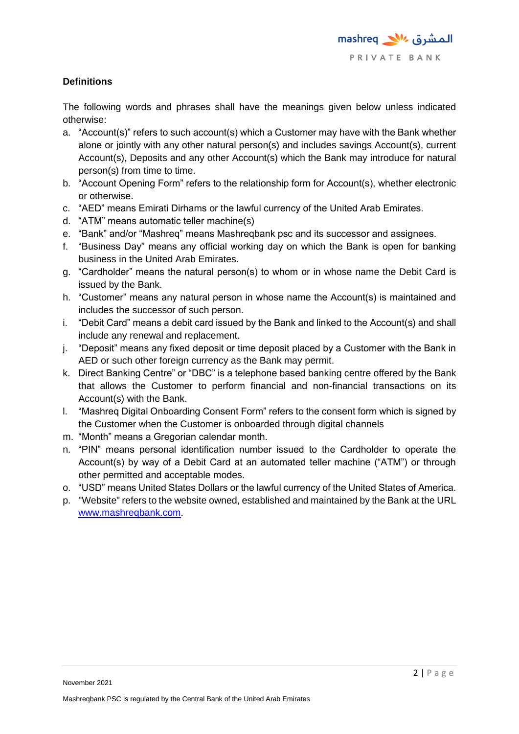# **Definitions**

The following words and phrases shall have the meanings given below unless indicated otherwise:

- a. "Account(s)" refers to such account(s) which a Customer may have with the Bank whether alone or jointly with any other natural person(s) and includes savings Account(s), current Account(s), Deposits and any other Account(s) which the Bank may introduce for natural person(s) from time to time.
- b. "Account Opening Form" refers to the relationship form for Account(s), whether electronic or otherwise.
- c. "AED" means Emirati Dirhams or the lawful currency of the United Arab Emirates.
- d. "ATM" means automatic teller machine(s)
- e. "Bank" and/or "Mashreq" means Mashreqbank psc and its successor and assignees.
- f. "Business Day" means any official working day on which the Bank is open for banking business in the United Arab Emirates.
- g. "Cardholder" means the natural person(s) to whom or in whose name the Debit Card is issued by the Bank.
- h. "Customer" means any natural person in whose name the Account(s) is maintained and includes the successor of such person.
- i. "Debit Card" means a debit card issued by the Bank and linked to the Account(s) and shall include any renewal and replacement.
- j. "Deposit" means any fixed deposit or time deposit placed by a Customer with the Bank in AED or such other foreign currency as the Bank may permit.
- k. Direct Banking Centre" or "DBC" is a telephone based banking centre offered by the Bank that allows the Customer to perform financial and non-financial transactions on its Account(s) with the Bank.
- l. "Mashreq Digital Onboarding Consent Form" refers to the consent form which is signed by the Customer when the Customer is onboarded through digital channels
- m. "Month" means a Gregorian calendar month.
- n. "PIN" means personal identification number issued to the Cardholder to operate the Account(s) by way of a Debit Card at an automated teller machine ("ATM") or through other permitted and acceptable modes.
- o. "USD" means United States Dollars or the lawful currency of the United States of America.
- p. "Website" refers to the website owned, established and maintained by the Bank at the URL [www.mashreqbank.com.](http://www.mashreqbank.com/)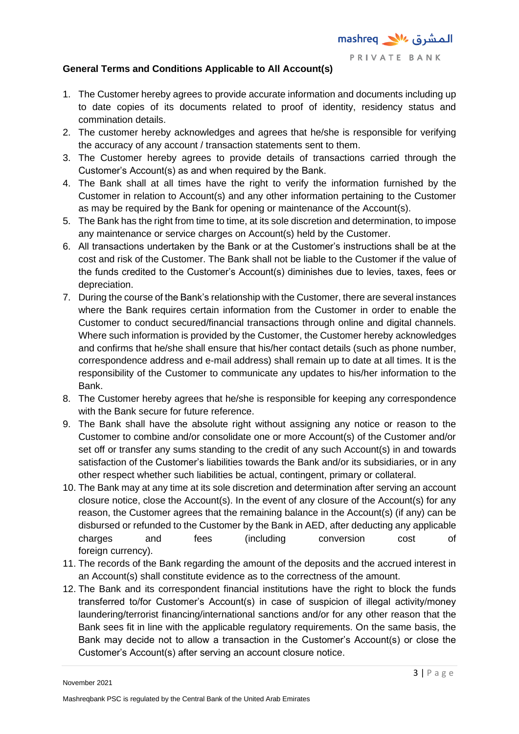## **General Terms and Conditions Applicable to All Account(s)**

- 1. The Customer hereby agrees to provide accurate information and documents including up to date copies of its documents related to proof of identity, residency status and commination details.
- 2. The customer hereby acknowledges and agrees that he/she is responsible for verifying the accuracy of any account / transaction statements sent to them.
- 3. The Customer hereby agrees to provide details of transactions carried through the Customer's Account(s) as and when required by the Bank.
- 4. The Bank shall at all times have the right to verify the information furnished by the Customer in relation to Account(s) and any other information pertaining to the Customer as may be required by the Bank for opening or maintenance of the Account(s).
- 5. The Bank has the right from time to time, at its sole discretion and determination, to impose any maintenance or service charges on Account(s) held by the Customer.
- 6. All transactions undertaken by the Bank or at the Customer's instructions shall be at the cost and risk of the Customer. The Bank shall not be liable to the Customer if the value of the funds credited to the Customer's Account(s) diminishes due to levies, taxes, fees or depreciation.
- 7. During the course of the Bank's relationship with the Customer, there are several instances where the Bank requires certain information from the Customer in order to enable the Customer to conduct secured/financial transactions through online and digital channels. Where such information is provided by the Customer, the Customer hereby acknowledges and confirms that he/she shall ensure that his/her contact details (such as phone number, correspondence address and e-mail address) shall remain up to date at all times. It is the responsibility of the Customer to communicate any updates to his/her information to the Bank.
- 8. The Customer hereby agrees that he/she is responsible for keeping any correspondence with the Bank secure for future reference.
- 9. The Bank shall have the absolute right without assigning any notice or reason to the Customer to combine and/or consolidate one or more Account(s) of the Customer and/or set off or transfer any sums standing to the credit of any such Account(s) in and towards satisfaction of the Customer's liabilities towards the Bank and/or its subsidiaries, or in any other respect whether such liabilities be actual, contingent, primary or collateral.
- 10. The Bank may at any time at its sole discretion and determination after serving an account closure notice, close the Account(s). In the event of any closure of the Account(s) for any reason, the Customer agrees that the remaining balance in the Account(s) (if any) can be disbursed or refunded to the Customer by the Bank in AED, after deducting any applicable charges and fees (including conversion cost of foreign currency).
- 11. The records of the Bank regarding the amount of the deposits and the accrued interest in an Account(s) shall constitute evidence as to the correctness of the amount.
- 12. The Bank and its correspondent financial institutions have the right to block the funds transferred to/for Customer's Account(s) in case of suspicion of illegal activity/money laundering/terrorist financing/international sanctions and/or for any other reason that the Bank sees fit in line with the applicable regulatory requirements. On the same basis, the Bank may decide not to allow a transaction in the Customer's Account(s) or close the Customer's Account(s) after serving an account closure notice.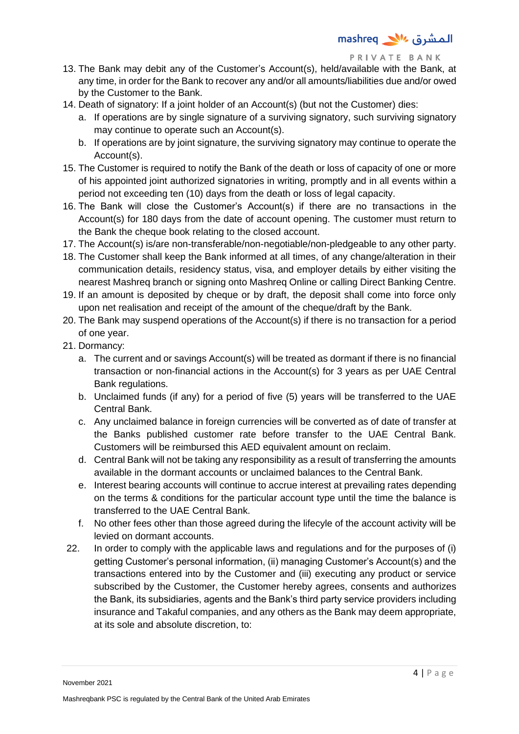- 13. The Bank may debit any of the Customer's Account(s), held/available with the Bank, at any time, in order for the Bank to recover any and/or all amounts/liabilities due and/or owed by the Customer to the Bank.
- 14. Death of signatory: If a joint holder of an Account(s) (but not the Customer) dies:
	- a. If operations are by single signature of a surviving signatory, such surviving signatory may continue to operate such an Account(s).
	- b. If operations are by joint signature, the surviving signatory may continue to operate the Account(s).
- 15. The Customer is required to notify the Bank of the death or loss of capacity of one or more of his appointed joint authorized signatories in writing, promptly and in all events within a period not exceeding ten (10) days from the death or loss of legal capacity.
- 16. The Bank will close the Customer's Account(s) if there are no transactions in the Account(s) for 180 days from the date of account opening. The customer must return to the Bank the cheque book relating to the closed account.
- 17. The Account(s) is/are non-transferable/non-negotiable/non-pledgeable to any other party.
- 18. The Customer shall keep the Bank informed at all times, of any change/alteration in their communication details, residency status, visa, and employer details by either visiting the nearest Mashreq branch or signing onto Mashreq Online or calling Direct Banking Centre.
- 19. If an amount is deposited by cheque or by draft, the deposit shall come into force only upon net realisation and receipt of the amount of the cheque/draft by the Bank.
- 20. The Bank may suspend operations of the Account(s) if there is no transaction for a period of one year.
- 21. Dormancy:
	- a. The current and or savings Account(s) will be treated as dormant if there is no financial transaction or non-financial actions in the Account(s) for 3 years as per UAE Central Bank regulations.
	- b. Unclaimed funds (if any) for a period of five (5) years will be transferred to the UAE Central Bank.
	- c. Any unclaimed balance in foreign currencies will be converted as of date of transfer at the Banks published customer rate before transfer to the UAE Central Bank. Customers will be reimbursed this AED equivalent amount on reclaim.
	- d. Central Bank will not be taking any responsibility as a result of transferring the amounts available in the dormant accounts or unclaimed balances to the Central Bank.
	- e. Interest bearing accounts will continue to accrue interest at prevailing rates depending on the terms & conditions for the particular account type until the time the balance is transferred to the UAE Central Bank.
	- f. No other fees other than those agreed during the lifecyle of the account activity will be levied on dormant accounts.
- 22. In order to comply with the applicable laws and regulations and for the purposes of (i) getting Customer's personal information, (ii) managing Customer's Account(s) and the transactions entered into by the Customer and (iii) executing any product or service subscribed by the Customer, the Customer hereby agrees, consents and authorizes the Bank, its subsidiaries, agents and the Bank's third party service providers including insurance and Takaful companies, and any others as the Bank may deem appropriate, at its sole and absolute discretion, to: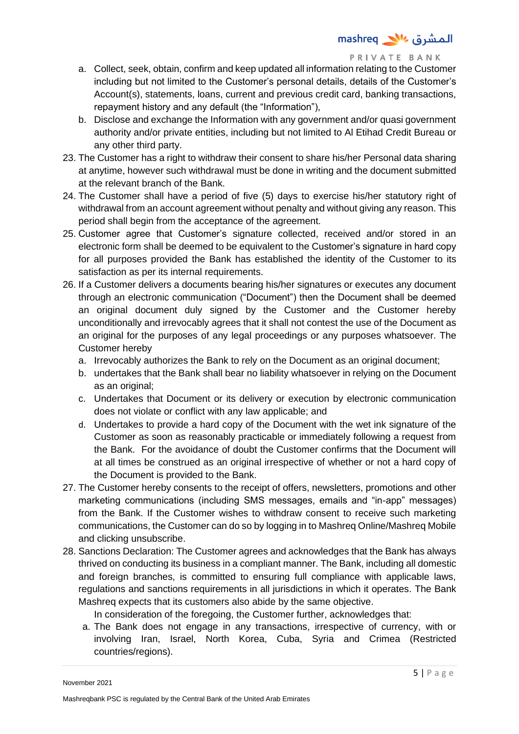- a. Collect, seek, obtain, confirm and keep updated all information relating to the Customer including but not limited to the Customer's personal details, details of the Customer's Account(s), statements, loans, current and previous credit card, banking transactions, repayment history and any default (the "Information"),
- b. Disclose and exchange the Information with any government and/or quasi government authority and/or private entities, including but not limited to Al Etihad Credit Bureau or any other third party.
- 23. The Customer has a right to withdraw their consent to share his/her Personal data sharing at anytime, however such withdrawal must be done in writing and the document submitted at the relevant branch of the Bank.
- 24. The Customer shall have a period of five (5) days to exercise his/her statutory right of withdrawal from an account agreement without penalty and without giving any reason. This period shall begin from the acceptance of the agreement.
- 25. Customer agree that Customer's signature collected, received and/or stored in an electronic form shall be deemed to be equivalent to the Customer's signature in hard copy for all purposes provided the Bank has established the identity of the Customer to its satisfaction as per its internal requirements.
- 26. If a Customer delivers a documents bearing his/her signatures or executes any document through an electronic communication ("Document") then the Document shall be deemed an original document duly signed by the Customer and the Customer hereby unconditionally and irrevocably agrees that it shall not contest the use of the Document as an original for the purposes of any legal proceedings or any purposes whatsoever. The Customer hereby
	- a. Irrevocably authorizes the Bank to rely on the Document as an original document;
	- b. undertakes that the Bank shall bear no liability whatsoever in relying on the Document as an original;
	- c. Undertakes that Document or its delivery or execution by electronic communication does not violate or conflict with any law applicable; and
	- d. Undertakes to provide a hard copy of the Document with the wet ink signature of the Customer as soon as reasonably practicable or immediately following a request from the Bank. For the avoidance of doubt the Customer confirms that the Document will at all times be construed as an original irrespective of whether or not a hard copy of the Document is provided to the Bank.
- 27. The Customer hereby consents to the receipt of offers, newsletters, promotions and other marketing communications (including SMS messages, emails and "in-app" messages) from the Bank. If the Customer wishes to withdraw consent to receive such marketing communications, the Customer can do so by logging in to Mashreq Online/Mashreq Mobile and clicking unsubscribe.
- 28. Sanctions Declaration: The Customer agrees and acknowledges that the Bank has always thrived on conducting its business in a compliant manner. The Bank, including all domestic and foreign branches, is committed to ensuring full compliance with applicable laws, regulations and sanctions requirements in all jurisdictions in which it operates. The Bank Mashreq expects that its customers also abide by the same objective.

In consideration of the foregoing, the Customer further, acknowledges that:

a. The Bank does not engage in any transactions, irrespective of currency, with or involving Iran, Israel, North Korea, Cuba, Syria and Crimea (Restricted countries/regions).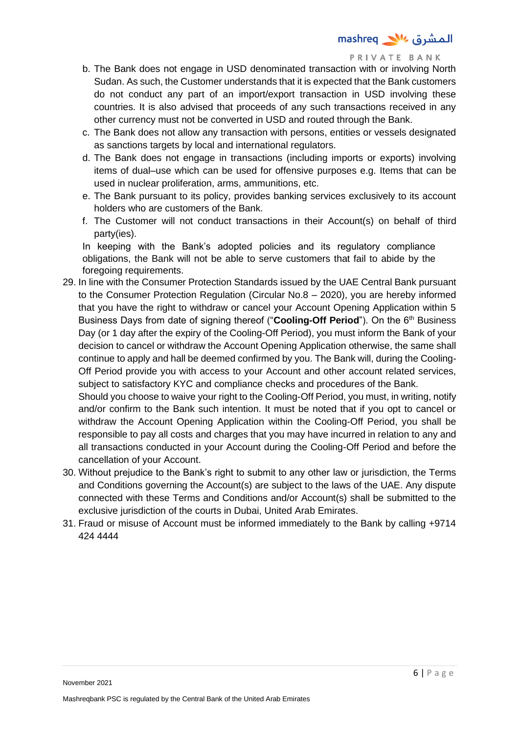- b. The Bank does not engage in USD denominated transaction with or involving North Sudan. As such, the Customer understands that it is expected that the Bank customers do not conduct any part of an import/export transaction in USD involving these countries. It is also advised that proceeds of any such transactions received in any other currency must not be converted in USD and routed through the Bank.
- c. The Bank does not allow any transaction with persons, entities or vessels designated as sanctions targets by local and international regulators.
- d. The Bank does not engage in transactions (including imports or exports) involving items of dual–use which can be used for offensive purposes e.g. Items that can be used in nuclear proliferation, arms, ammunitions, etc.
- e. The Bank pursuant to its policy, provides banking services exclusively to its account holders who are customers of the Bank.
- f. The Customer will not conduct transactions in their Account(s) on behalf of third party(ies).

In keeping with the Bank's adopted policies and its regulatory compliance obligations, the Bank will not be able to serve customers that fail to abide by the foregoing requirements.

29. In line with the Consumer Protection Standards issued by the UAE Central Bank pursuant to the Consumer Protection Regulation (Circular No.8 – 2020), you are hereby informed that you have the right to withdraw or cancel your Account Opening Application within 5 Business Days from date of signing thereof ("**Cooling-Off Period**"). On the 6<sup>th</sup> Business Day (or 1 day after the expiry of the Cooling-Off Period), you must inform the Bank of your decision to cancel or withdraw the Account Opening Application otherwise, the same shall continue to apply and hall be deemed confirmed by you. The Bank will, during the Cooling-Off Period provide you with access to your Account and other account related services, subject to satisfactory KYC and compliance checks and procedures of the Bank.

Should you choose to waive your right to the Cooling-Off Period, you must, in writing, notify and/or confirm to the Bank such intention. It must be noted that if you opt to cancel or withdraw the Account Opening Application within the Cooling-Off Period, you shall be responsible to pay all costs and charges that you may have incurred in relation to any and all transactions conducted in your Account during the Cooling-Off Period and before the cancellation of your Account.

- 30. Without prejudice to the Bank's right to submit to any other law or jurisdiction, the Terms and Conditions governing the Account(s) are subject to the laws of the UAE. Any dispute connected with these Terms and Conditions and/or Account(s) shall be submitted to the exclusive jurisdiction of the courts in Dubai. United Arab Emirates.
- 31. Fraud or misuse of Account must be informed immediately to the Bank by calling +9714 424 4444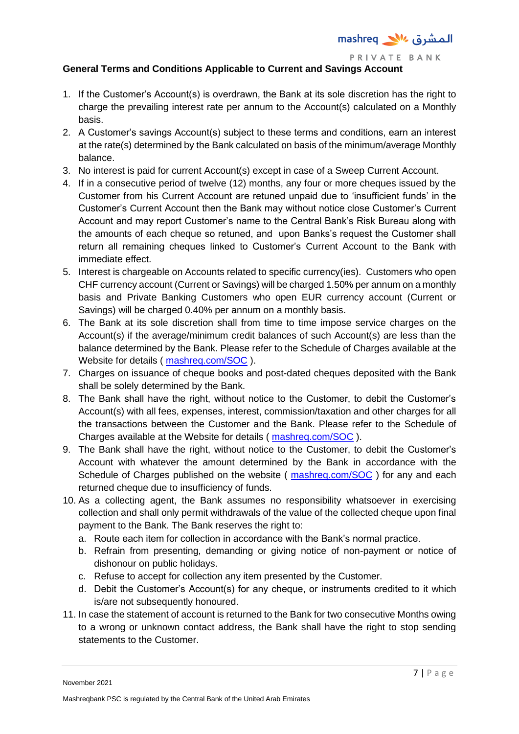

# **General Terms and Conditions Applicable to Current and Savings Account**

- 1. If the Customer's Account(s) is overdrawn, the Bank at its sole discretion has the right to charge the prevailing interest rate per annum to the Account(s) calculated on a Monthly basis.
- 2. A Customer's savings Account(s) subject to these terms and conditions, earn an interest at the rate(s) determined by the Bank calculated on basis of the minimum/average Monthly balance.
- 3. No interest is paid for current Account(s) except in case of a Sweep Current Account.
- 4. If in a consecutive period of twelve (12) months, any four or more cheques issued by the Customer from his Current Account are retuned unpaid due to 'insufficient funds' in the Customer's Current Account then the Bank may without notice close Customer's Current Account and may report Customer's name to the Central Bank's Risk Bureau along with the amounts of each cheque so retuned, and upon Banks's request the Customer shall return all remaining cheques linked to Customer's Current Account to the Bank with immediate effect.
- 5. Interest is chargeable on Accounts related to specific currency(ies). Customers who open CHF currency account (Current or Savings) will be charged 1.50% per annum on a monthly basis and Private Banking Customers who open EUR currency account (Current or Savings) will be charged 0.40% per annum on a monthly basis.
- 6. The Bank at its sole discretion shall from time to time impose service charges on the Account(s) if the average/minimum credit balances of such Account(s) are less than the balance determined by the Bank. Please refer to the Schedule of Charges available at the Website for details ( [mashreq.com/SOC](https://www.mashreqbank.com/uae/en/private-banking/images/PrivateBanking-SOC.pdf) ).
- 7. Charges on issuance of cheque books and post-dated cheques deposited with the Bank shall be solely determined by the Bank.
- 8. The Bank shall have the right, without notice to the Customer, to debit the Customer's Account(s) with all fees, expenses, interest, commission/taxation and other charges for all the transactions between the Customer and the Bank. Please refer to the Schedule of Charges available at the Website for details ( [mashreq.com/SOC](https://www.mashreqbank.com/uae/en/private-banking/images/PrivateBanking-SOC.pdf) ).
- 9. The Bank shall have the right, without notice to the Customer, to debit the Customer's Account with whatever the amount determined by the Bank in accordance with the Schedule of Charges published on the website ( [mashreq.com/SOC](https://www.mashreqbank.com/uae/en/private-banking/images/PrivateBanking-SOC.pdf)) for any and each returned cheque due to insufficiency of funds.
- 10. As a collecting agent, the Bank assumes no responsibility whatsoever in exercising collection and shall only permit withdrawals of the value of the collected cheque upon final payment to the Bank. The Bank reserves the right to:
	- a. Route each item for collection in accordance with the Bank's normal practice.
	- b. Refrain from presenting, demanding or giving notice of non-payment or notice of dishonour on public holidays.
	- c. Refuse to accept for collection any item presented by the Customer.
	- d. Debit the Customer's Account(s) for any cheque, or instruments credited to it which is/are not subsequently honoured.
- 11. In case the statement of account is returned to the Bank for two consecutive Months owing to a wrong or unknown contact address, the Bank shall have the right to stop sending statements to the Customer.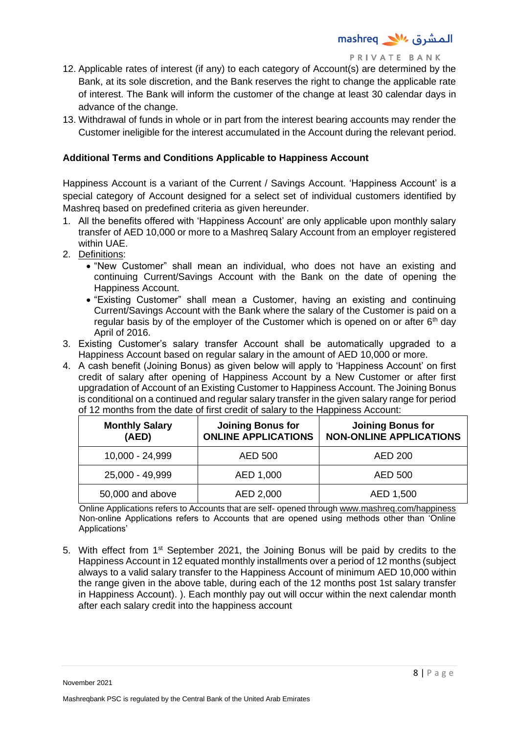- 12. Applicable rates of interest (if any) to each category of Account(s) are determined by the Bank, at its sole discretion, and the Bank reserves the right to change the applicable rate of interest. The Bank will inform the customer of the change at least 30 calendar days in advance of the change.
- 13. Withdrawal of funds in whole or in part from the interest bearing accounts may render the Customer ineligible for the interest accumulated in the Account during the relevant period.

## **Additional Terms and Conditions Applicable to Happiness Account**

Happiness Account is a variant of the Current / Savings Account. 'Happiness Account' is a special category of Account designed for a select set of individual customers identified by Mashreq based on predefined criteria as given hereunder.

- 1. All the benefits offered with 'Happiness Account' are only applicable upon monthly salary transfer of AED 10,000 or more to a Mashreq Salary Account from an employer registered within UAE.
- 2. Definitions:
	- "New Customer" shall mean an individual, who does not have an existing and continuing Current/Savings Account with the Bank on the date of opening the Happiness Account.
	- "Existing Customer" shall mean a Customer, having an existing and continuing Current/Savings Account with the Bank where the salary of the Customer is paid on a regular basis by of the employer of the Customer which is opened on or after  $6<sup>th</sup>$  day April of 2016.
- 3. Existing Customer's salary transfer Account shall be automatically upgraded to a Happiness Account based on regular salary in the amount of AED 10,000 or more.
- 4. A cash benefit (Joining Bonus) as given below will apply to 'Happiness Account' on first credit of salary after opening of Happiness Account by a New Customer or after first upgradation of Account of an Existing Customer to Happiness Account. The Joining Bonus is conditional on a continued and regular salary transfer in the given salary range for period of 12 months from the date of first credit of salary to the Happiness Account:

| <b>Monthly Salary</b><br>(AED) | <b>Joining Bonus for</b><br><b>ONLINE APPLICATIONS</b> | <b>Joining Bonus for</b><br><b>NON-ONLINE APPLICATIONS</b> |
|--------------------------------|--------------------------------------------------------|------------------------------------------------------------|
| 10,000 - 24,999                | AED 500                                                | AED 200                                                    |
| 25,000 - 49,999                | AED 1,000                                              | AED 500                                                    |
| 50,000 and above               | AED 2,000                                              | AED 1,500                                                  |

Online Applications refers to Accounts that are self- opened through [www.mashreq.com/happiness](http://www.mashreq.com/happiness) Non-online Applications refers to Accounts that are opened using methods other than 'Online Applications'

5. With effect from 1<sup>st</sup> September 2021, the Joining Bonus will be paid by credits to the Happiness Account in 12 equated monthly installments over a period of 12 months (subject always to a valid salary transfer to the Happiness Account of minimum AED 10,000 within the range given in the above table, during each of the 12 months post 1st salary transfer in Happiness Account). ). Each monthly pay out will occur within the next calendar month after each salary credit into the happiness account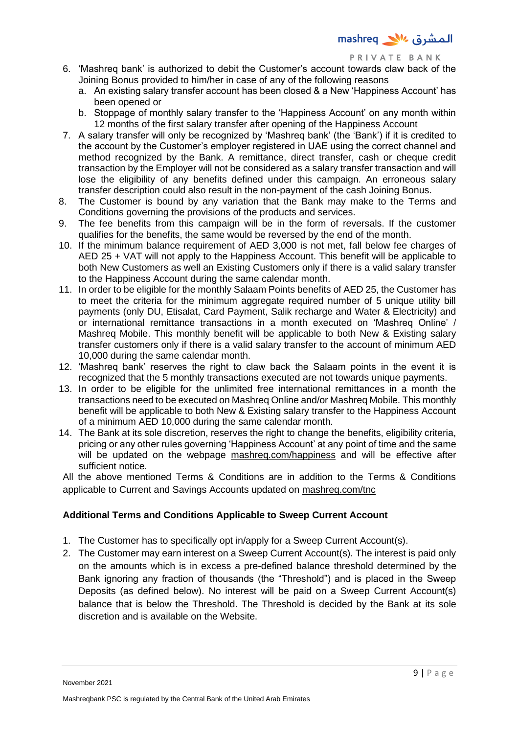- 6. 'Mashreq bank' is authorized to debit the Customer's account towards claw back of the Joining Bonus provided to him/her in case of any of the following reasons
	- a. An existing salary transfer account has been closed & a New 'Happiness Account' has been opened or
	- b. Stoppage of monthly salary transfer to the 'Happiness Account' on any month within 12 months of the first salary transfer after opening of the Happiness Account
- 7. A salary transfer will only be recognized by 'Mashreq bank' (the 'Bank') if it is credited to the account by the Customer's employer registered in UAE using the correct channel and method recognized by the Bank. A remittance, direct transfer, cash or cheque credit transaction by the Employer will not be considered as a salary transfer transaction and will lose the eligibility of any benefits defined under this campaign. An erroneous salary transfer description could also result in the non-payment of the cash Joining Bonus.
- 8. The Customer is bound by any variation that the Bank may make to the Terms and Conditions governing the provisions of the products and services.
- 9. The fee benefits from this campaign will be in the form of reversals. If the customer qualifies for the benefits, the same would be reversed by the end of the month.
- 10. If the minimum balance requirement of AED 3,000 is not met, fall below fee charges of AED 25 + VAT will not apply to the Happiness Account. This benefit will be applicable to both New Customers as well an Existing Customers only if there is a valid salary transfer to the Happiness Account during the same calendar month.
- 11. In order to be eligible for the monthly Salaam Points benefits of AED 25, the Customer has to meet the criteria for the minimum aggregate required number of 5 unique utility bill payments (only DU, Etisalat, Card Payment, Salik recharge and Water & Electricity) and or international remittance transactions in a month executed on 'Mashreq Online' / Mashreq Mobile. This monthly benefit will be applicable to both New & Existing salary transfer customers only if there is a valid salary transfer to the account of minimum AED 10,000 during the same calendar month.
- 12. 'Mashreq bank' reserves the right to claw back the Salaam points in the event it is recognized that the 5 monthly transactions executed are not towards unique payments.
- 13. In order to be eligible for the unlimited free international remittances in a month the transactions need to be executed on Mashreq Online and/or Mashreq Mobile. This monthly benefit will be applicable to both New & Existing salary transfer to the Happiness Account of a minimum AED 10,000 during the same calendar month.
- 14. The Bank at its sole discretion, reserves the right to change the benefits, eligibility criteria, pricing or any other rules governing 'Happiness Account' at any point of time and the same will be updated on the webpage mashreg.com/happiness and will be effective after sufficient notice.

All the above mentioned Terms & Conditions are in addition to the Terms & Conditions applicable to Current and Savings Accounts updated on [mashreq.com/tnc](http://www.mashreq.com/tnc)

## **Additional Terms and Conditions Applicable to Sweep Current Account**

- 1. The Customer has to specifically opt in/apply for a Sweep Current Account(s).
- 2. The Customer may earn interest on a Sweep Current Account(s). The interest is paid only on the amounts which is in excess a pre-defined balance threshold determined by the Bank ignoring any fraction of thousands (the "Threshold") and is placed in the Sweep Deposits (as defined below). No interest will be paid on a Sweep Current Account(s) balance that is below the Threshold. The Threshold is decided by the Bank at its sole discretion and is available on the Website.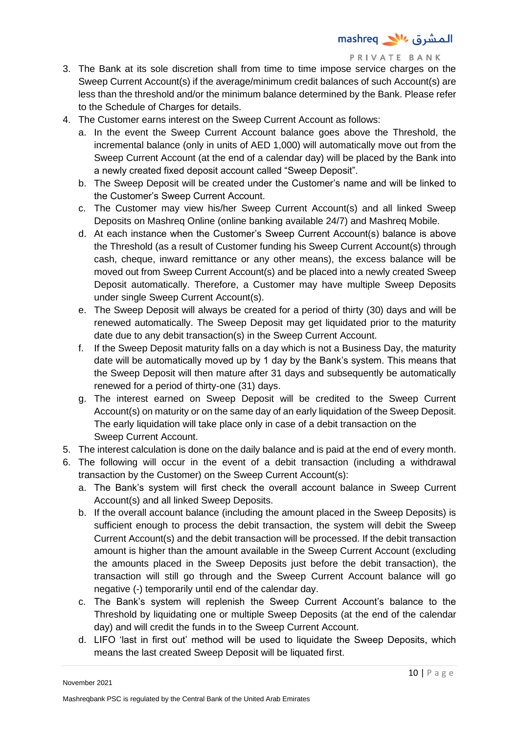- 3. The Bank at its sole discretion shall from time to time impose service charges on the Sweep Current Account(s) if the average/minimum credit balances of such Account(s) are less than the threshold and/or the minimum balance determined by the Bank. Please refer to the Schedule of Charges for details.
- 4. The Customer earns interest on the Sweep Current Account as follows:
	- a. In the event the Sweep Current Account balance goes above the Threshold, the incremental balance (only in units of AED 1,000) will automatically move out from the Sweep Current Account (at the end of a calendar day) will be placed by the Bank into a newly created fixed deposit account called "Sweep Deposit".
	- b. The Sweep Deposit will be created under the Customer's name and will be linked to the Customer's Sweep Current Account.
	- c. The Customer may view his/her Sweep Current Account(s) and all linked Sweep Deposits on Mashreq Online (online banking available 24/7) and Mashreq Mobile.
	- d. At each instance when the Customer's Sweep Current Account(s) balance is above the Threshold (as a result of Customer funding his Sweep Current Account(s) through cash, cheque, inward remittance or any other means), the excess balance will be moved out from Sweep Current Account(s) and be placed into a newly created Sweep Deposit automatically. Therefore, a Customer may have multiple Sweep Deposits under single Sweep Current Account(s).
	- e. The Sweep Deposit will always be created for a period of thirty (30) days and will be renewed automatically. The Sweep Deposit may get liquidated prior to the maturity date due to any debit transaction(s) in the Sweep Current Account.
	- f. If the Sweep Deposit maturity falls on a day which is not a Business Day, the maturity date will be automatically moved up by 1 day by the Bank's system. This means that the Sweep Deposit will then mature after 31 days and subsequently be automatically renewed for a period of thirty-one (31) days.
	- g. The interest earned on Sweep Deposit will be credited to the Sweep Current Account(s) on maturity or on the same day of an early liquidation of the Sweep Deposit. The early liquidation will take place only in case of a debit transaction on the Sweep Current Account.
- 5. The interest calculation is done on the daily balance and is paid at the end of every month.
- 6. The following will occur in the event of a debit transaction (including a withdrawal transaction by the Customer) on the Sweep Current Account(s):
	- a. The Bank's system will first check the overall account balance in Sweep Current Account(s) and all linked Sweep Deposits.
	- b. If the overall account balance (including the amount placed in the Sweep Deposits) is sufficient enough to process the debit transaction, the system will debit the Sweep Current Account(s) and the debit transaction will be processed. If the debit transaction amount is higher than the amount available in the Sweep Current Account (excluding the amounts placed in the Sweep Deposits just before the debit transaction), the transaction will still go through and the Sweep Current Account balance will go negative (-) temporarily until end of the calendar day.
	- c. The Bank's system will replenish the Sweep Current Account's balance to the Threshold by liquidating one or multiple Sweep Deposits (at the end of the calendar day) and will credit the funds in to the Sweep Current Account.
	- d. LIFO 'last in first out' method will be used to liquidate the Sweep Deposits, which means the last created Sweep Deposit will be liquated first.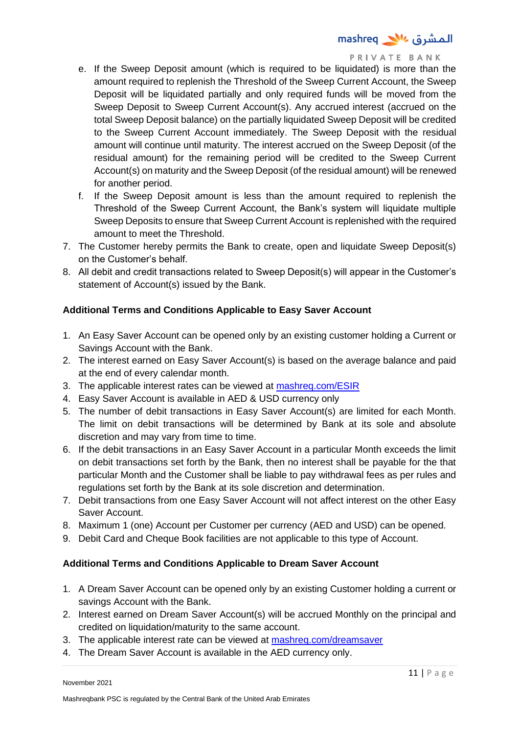- e. If the Sweep Deposit amount (which is required to be liquidated) is more than the amount required to replenish the Threshold of the Sweep Current Account, the Sweep Deposit will be liquidated partially and only required funds will be moved from the Sweep Deposit to Sweep Current Account(s). Any accrued interest (accrued on the total Sweep Deposit balance) on the partially liquidated Sweep Deposit will be credited to the Sweep Current Account immediately. The Sweep Deposit with the residual amount will continue until maturity. The interest accrued on the Sweep Deposit (of the residual amount) for the remaining period will be credited to the Sweep Current Account(s) on maturity and the Sweep Deposit (of the residual amount) will be renewed for another period.
- f. If the Sweep Deposit amount is less than the amount required to replenish the Threshold of the Sweep Current Account, the Bank's system will liquidate multiple Sweep Deposits to ensure that Sweep Current Account is replenished with the required amount to meet the Threshold.
- 7. The Customer hereby permits the Bank to create, open and liquidate Sweep Deposit(s) on the Customer's behalf.
- 8. All debit and credit transactions related to Sweep Deposit(s) will appear in the Customer's statement of Account(s) issued by the Bank.

## **Additional Terms and Conditions Applicable to Easy Saver Account**

- 1. An Easy Saver Account can be opened only by an existing customer holding a Current or Savings Account with the Bank.
- 2. The interest earned on Easy Saver Account(s) is based on the average balance and paid at the end of every calendar month.
- 3. The applicable interest rates can be viewed at [mashreq.com/ESIR](http://www.mashreq.com/ESIR)
- 4. Easy Saver Account is available in AED & USD currency only
- 5. The number of debit transactions in Easy Saver Account(s) are limited for each Month. The limit on debit transactions will be determined by Bank at its sole and absolute discretion and may vary from time to time.
- 6. If the debit transactions in an Easy Saver Account in a particular Month exceeds the limit on debit transactions set forth by the Bank, then no interest shall be payable for the that particular Month and the Customer shall be liable to pay withdrawal fees as per rules and regulations set forth by the Bank at its sole discretion and determination.
- 7. Debit transactions from one Easy Saver Account will not affect interest on the other Easy Saver Account.
- 8. Maximum 1 (one) Account per Customer per currency (AED and USD) can be opened.
- 9. Debit Card and Cheque Book facilities are not applicable to this type of Account.

#### **Additional Terms and Conditions Applicable to Dream Saver Account**

- 1. A Dream Saver Account can be opened only by an existing Customer holding a current or savings Account with the Bank.
- 2. Interest earned on Dream Saver Account(s) will be accrued Monthly on the principal and credited on liquidation/maturity to the same account.
- 3. The applicable interest rate can be viewed at [mashreq.com/dreamsaver](http://www.mashreq.com/dreamsaver)
- 4. The Dream Saver Account is available in the AED currency only.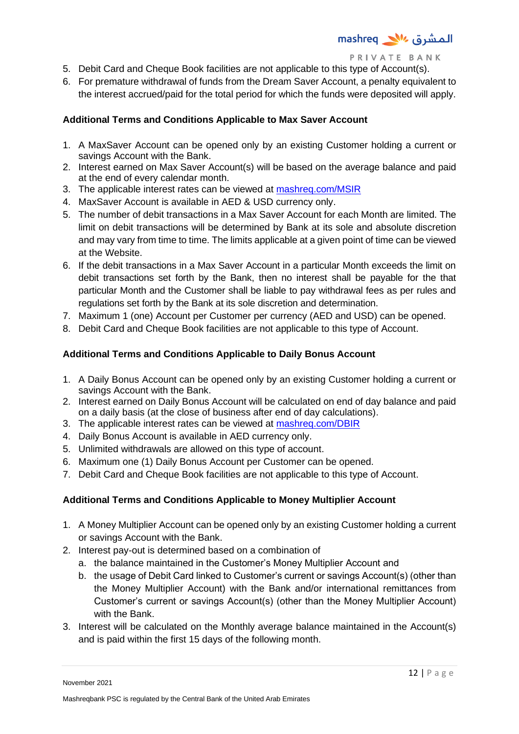- 5. Debit Card and Cheque Book facilities are not applicable to this type of Account(s).
- 6. For premature withdrawal of funds from the Dream Saver Account, a penalty equivalent to the interest accrued/paid for the total period for which the funds were deposited will apply.

# **Additional Terms and Conditions Applicable to Max Saver Account**

- 1. A MaxSaver Account can be opened only by an existing Customer holding a current or savings Account with the Bank.
- 2. Interest earned on Max Saver Account(s) will be based on the average balance and paid at the end of every calendar month.
- 3. The applicable interest rates can be viewed at [mashreq.com/MSIR](http://www.mashreq.com/MSIR)
- 4. MaxSaver Account is available in AED & USD currency only.
- 5. The number of debit transactions in a Max Saver Account for each Month are limited. The limit on debit transactions will be determined by Bank at its sole and absolute discretion and may vary from time to time. The limits applicable at a given point of time can be viewed at the Website.
- 6. If the debit transactions in a Max Saver Account in a particular Month exceeds the limit on debit transactions set forth by the Bank, then no interest shall be payable for the that particular Month and the Customer shall be liable to pay withdrawal fees as per rules and regulations set forth by the Bank at its sole discretion and determination.
- 7. Maximum 1 (one) Account per Customer per currency (AED and USD) can be opened.
- 8. Debit Card and Cheque Book facilities are not applicable to this type of Account.

# **Additional Terms and Conditions Applicable to Daily Bonus Account**

- 1. A Daily Bonus Account can be opened only by an existing Customer holding a current or savings Account with the Bank.
- 2. Interest earned on Daily Bonus Account will be calculated on end of day balance and paid on a daily basis (at the close of business after end of day calculations).
- 3. The applicable interest rates can be viewed at [mashreq.com/DBIR](http://www.mashreq.com/DBIR)
- 4. Daily Bonus Account is available in AED currency only.
- 5. Unlimited withdrawals are allowed on this type of account.
- 6. Maximum one (1) Daily Bonus Account per Customer can be opened.
- 7. Debit Card and Cheque Book facilities are not applicable to this type of Account.

# **Additional Terms and Conditions Applicable to Money Multiplier Account**

- 1. A Money Multiplier Account can be opened only by an existing Customer holding a current or savings Account with the Bank.
- 2. Interest pay-out is determined based on a combination of
	- a. the balance maintained in the Customer's Money Multiplier Account and
	- b. the usage of Debit Card linked to Customer's current or savings Account(s) (other than the Money Multiplier Account) with the Bank and/or international remittances from Customer's current or savings Account(s) (other than the Money Multiplier Account) with the Bank.
- 3. Interest will be calculated on the Monthly average balance maintained in the Account(s) and is paid within the first 15 days of the following month.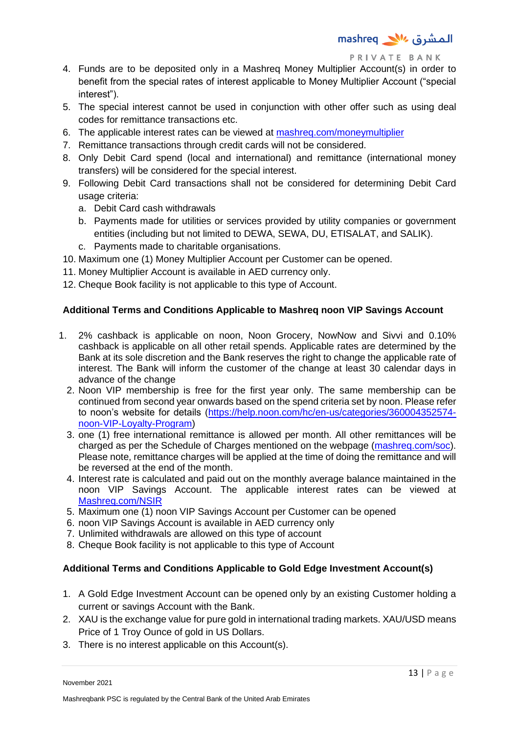- 4. Funds are to be deposited only in a Mashreq Money Multiplier Account(s) in order to benefit from the special rates of interest applicable to Money Multiplier Account ("special interest").
- 5. The special interest cannot be used in conjunction with other offer such as using deal codes for remittance transactions etc.
- 6. The applicable interest rates can be viewed at [mashreq.com/moneymultiplier](http://www.mashreq.com/moneymultiplier)
- 7. Remittance transactions through credit cards will not be considered.
- 8. Only Debit Card spend (local and international) and remittance (international money transfers) will be considered for the special interest.
- 9. Following Debit Card transactions shall not be considered for determining Debit Card usage criteria:
	- a. Debit Card cash withdrawals
	- b. Payments made for utilities or services provided by utility companies or government entities (including but not limited to DEWA, SEWA, DU, ETISALAT, and SALIK).
	- c. Payments made to charitable organisations.
- 10. Maximum one (1) Money Multiplier Account per Customer can be opened.
- 11. Money Multiplier Account is available in AED currency only.
- 12. Cheque Book facility is not applicable to this type of Account.

## **Additional Terms and Conditions Applicable to Mashreq noon VIP Savings Account**

- 1. 2% cashback is applicable on noon, Noon Grocery, NowNow and Sivvi and 0.10% cashback is applicable on all other retail spends. Applicable rates are determined by the Bank at its sole discretion and the Bank reserves the right to change the applicable rate of interest. The Bank will inform the customer of the change at least 30 calendar days in advance of the change
	- 2. Noon VIP membership is free for the first year only. The same membership can be continued from second year onwards based on the spend criteria set by noon. Please refer to noon's website for details [\(https://help.noon.com/hc/en-us/categories/360004352574](https://help.noon.com/hc/en-us/categories/360004352574-noon-VIP-Loyalty-Program) [noon-VIP-Loyalty-Program\)](https://help.noon.com/hc/en-us/categories/360004352574-noon-VIP-Loyalty-Program)
	- 3. one (1) free international remittance is allowed per month. All other remittances will be charged as per the Schedule of Charges mentioned on the webpage [\(mashreq.com/soc\)](https://www.mashreqbank.com/uae/en/private-banking/images/PrivateBanking-SOC.pdf). Please note, remittance charges will be applied at the time of doing the remittance and will be reversed at the end of the month.
	- 4. Interest rate is calculated and paid out on the monthly average balance maintained in the noon VIP Savings Account. The applicable interest rates can be viewed at [Mashreq.com/NSIR](http://www.mashreq.com/NSIR)
	- 5. Maximum one (1) noon VIP Savings Account per Customer can be opened
	- 6. noon VIP Savings Account is available in AED currency only
	- 7. Unlimited withdrawals are allowed on this type of account
	- 8. Cheque Book facility is not applicable to this type of Account

## **Additional Terms and Conditions Applicable to Gold Edge Investment Account(s)**

- 1. A Gold Edge Investment Account can be opened only by an existing Customer holding a current or savings Account with the Bank.
- 2. XAU is the exchange value for pure gold in international trading markets. XAU/USD means Price of 1 Troy Ounce of gold in US Dollars.
- 3. There is no interest applicable on this Account(s).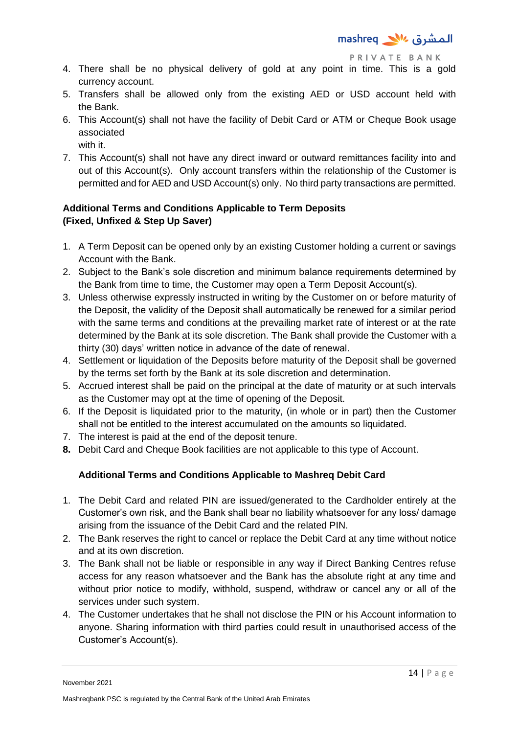- 4. There shall be no physical delivery of gold at any point in time. This is a gold currency account.
- 5. Transfers shall be allowed only from the existing AED or USD account held with the Bank.
- 6. This Account(s) shall not have the facility of Debit Card or ATM or Cheque Book usage associated with it.
- 7. This Account(s) shall not have any direct inward or outward remittances facility into and out of this Account(s). Only account transfers within the relationship of the Customer is permitted and for AED and USD Account(s) only. No third party transactions are permitted.

# **Additional Terms and Conditions Applicable to Term Deposits (Fixed, Unfixed & Step Up Saver)**

- 1. A Term Deposit can be opened only by an existing Customer holding a current or savings Account with the Bank.
- 2. Subject to the Bank's sole discretion and minimum balance requirements determined by the Bank from time to time, the Customer may open a Term Deposit Account(s).
- 3. Unless otherwise expressly instructed in writing by the Customer on or before maturity of the Deposit, the validity of the Deposit shall automatically be renewed for a similar period with the same terms and conditions at the prevailing market rate of interest or at the rate determined by the Bank at its sole discretion. The Bank shall provide the Customer with a thirty (30) days' written notice in advance of the date of renewal.
- 4. Settlement or liquidation of the Deposits before maturity of the Deposit shall be governed by the terms set forth by the Bank at its sole discretion and determination.
- 5. Accrued interest shall be paid on the principal at the date of maturity or at such intervals as the Customer may opt at the time of opening of the Deposit.
- 6. If the Deposit is liquidated prior to the maturity, (in whole or in part) then the Customer shall not be entitled to the interest accumulated on the amounts so liquidated.
- 7. The interest is paid at the end of the deposit tenure.
- **8.** Debit Card and Cheque Book facilities are not applicable to this type of Account.

# **Additional Terms and Conditions Applicable to Mashreq Debit Card**

- 1. The Debit Card and related PIN are issued/generated to the Cardholder entirely at the Customer's own risk, and the Bank shall bear no liability whatsoever for any loss/ damage arising from the issuance of the Debit Card and the related PIN.
- 2. The Bank reserves the right to cancel or replace the Debit Card at any time without notice and at its own discretion.
- 3. The Bank shall not be liable or responsible in any way if Direct Banking Centres refuse access for any reason whatsoever and the Bank has the absolute right at any time and without prior notice to modify, withhold, suspend, withdraw or cancel any or all of the services under such system.
- 4. The Customer undertakes that he shall not disclose the PIN or his Account information to anyone. Sharing information with third parties could result in unauthorised access of the Customer's Account(s).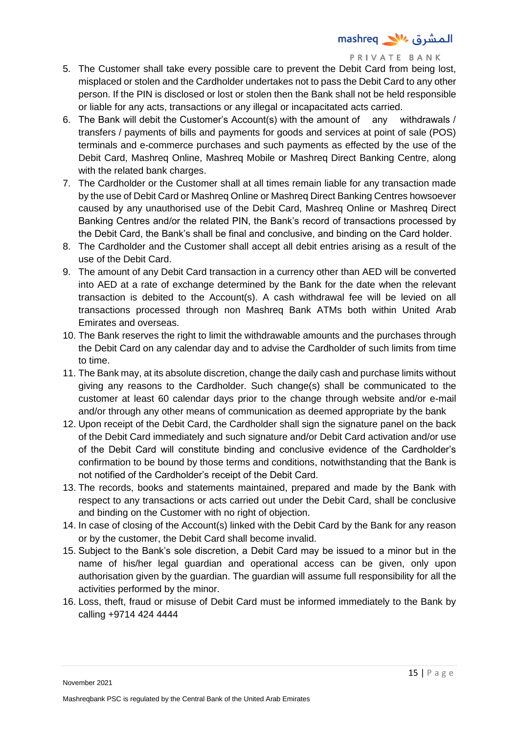- 5. The Customer shall take every possible care to prevent the Debit Card from being lost, misplaced or stolen and the Cardholder undertakes not to pass the Debit Card to any other person. If the PIN is disclosed or lost or stolen then the Bank shall not be held responsible or liable for any acts, transactions or any illegal or incapacitated acts carried.
- 6. The Bank will debit the Customer's Account(s) with the amount of any withdrawals / transfers / payments of bills and payments for goods and services at point of sale (POS) terminals and e-commerce purchases and such payments as effected by the use of the Debit Card, Mashreq Online, Mashreq Mobile or Mashreq Direct Banking Centre, along with the related bank charges.
- 7. The Cardholder or the Customer shall at all times remain liable for any transaction made by the use of Debit Card or Mashreq Online or Mashreq Direct Banking Centres howsoever caused by any unauthorised use of the Debit Card, Mashreq Online or Mashreq Direct Banking Centres and/or the related PIN, the Bank's record of transactions processed by the Debit Card, the Bank's shall be final and conclusive, and binding on the Card holder.
- 8. The Cardholder and the Customer shall accept all debit entries arising as a result of the use of the Debit Card.
- 9. The amount of any Debit Card transaction in a currency other than AED will be converted into AED at a rate of exchange determined by the Bank for the date when the relevant transaction is debited to the Account(s). A cash withdrawal fee will be levied on all transactions processed through non Mashreq Bank ATMs both within United Arab Emirates and overseas.
- 10. The Bank reserves the right to limit the withdrawable amounts and the purchases through the Debit Card on any calendar day and to advise the Cardholder of such limits from time to time.
- 11. The Bank may, at its absolute discretion, change the daily cash and purchase limits without giving any reasons to the Cardholder. Such change(s) shall be communicated to the customer at least 60 calendar days prior to the change through website and/or e-mail and/or through any other means of communication as deemed appropriate by the bank
- 12. Upon receipt of the Debit Card, the Cardholder shall sign the signature panel on the back of the Debit Card immediately and such signature and/or Debit Card activation and/or use of the Debit Card will constitute binding and conclusive evidence of the Cardholder's confirmation to be bound by those terms and conditions, notwithstanding that the Bank is not notified of the Cardholder's receipt of the Debit Card.
- 13. The records, books and statements maintained, prepared and made by the Bank with respect to any transactions or acts carried out under the Debit Card, shall be conclusive and binding on the Customer with no right of objection.
- 14. In case of closing of the Account(s) linked with the Debit Card by the Bank for any reason or by the customer, the Debit Card shall become invalid.
- 15. Subject to the Bank's sole discretion, a Debit Card may be issued to a minor but in the name of his/her legal guardian and operational access can be given, only upon authorisation given by the guardian. The guardian will assume full responsibility for all the activities performed by the minor.
- 16. Loss, theft, fraud or misuse of Debit Card must be informed immediately to the Bank by calling +9714 424 4444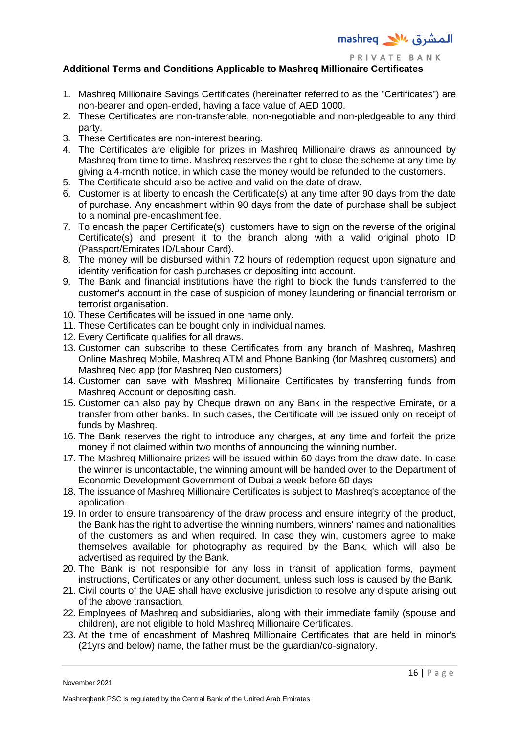

## **Additional Terms and Conditions Applicable to Mashreq Millionaire Certificates**

- 1. Mashreq Millionaire Savings Certificates (hereinafter referred to as the "Certificates") are non-bearer and open-ended, having a face value of AED 1000.
- 2. These Certificates are non-transferable, non-negotiable and non-pledgeable to any third party.
- 3. These Certificates are non-interest bearing.
- 4. The Certificates are eligible for prizes in Mashreq Millionaire draws as announced by Mashreq from time to time. Mashreq reserves the right to close the scheme at any time by giving a 4-month notice, in which case the money would be refunded to the customers.
- 5. The Certificate should also be active and valid on the date of draw.
- 6. Customer is at liberty to encash the Certificate(s) at any time after 90 days from the date of purchase. Any encashment within 90 days from the date of purchase shall be subject to a nominal pre-encashment fee.
- 7. To encash the paper Certificate(s), customers have to sign on the reverse of the original Certificate(s) and present it to the branch along with a valid original photo ID (Passport/Emirates ID/Labour Card).
- 8. The money will be disbursed within 72 hours of redemption request upon signature and identity verification for cash purchases or depositing into account.
- 9. The Bank and financial institutions have the right to block the funds transferred to the customer's account in the case of suspicion of money laundering or financial terrorism or terrorist organisation.
- 10. These Certificates will be issued in one name only.
- 11. These Certificates can be bought only in individual names.
- 12. Every Certificate qualifies for all draws.
- 13. Customer can subscribe to these Certificates from any branch of Mashreq, Mashreq Online Mashreq Mobile, Mashreq ATM and Phone Banking (for Mashreq customers) and Mashreq Neo app (for Mashreq Neo customers)
- 14. Customer can save with Mashreq Millionaire Certificates by transferring funds from Mashreq Account or depositing cash.
- 15. Customer can also pay by Cheque drawn on any Bank in the respective Emirate, or a transfer from other banks. In such cases, the Certificate will be issued only on receipt of funds by Mashreq.
- 16. The Bank reserves the right to introduce any charges, at any time and forfeit the prize money if not claimed within two months of announcing the winning number.
- 17. The Mashreq Millionaire prizes will be issued within 60 days from the draw date. In case the winner is uncontactable, the winning amount will be handed over to the Department of Economic Development Government of Dubai a week before 60 days
- 18. The issuance of Mashreq Millionaire Certificates is subject to Mashreq's acceptance of the application.
- 19. In order to ensure transparency of the draw process and ensure integrity of the product, the Bank has the right to advertise the winning numbers, winners' names and nationalities of the customers as and when required. In case they win, customers agree to make themselves available for photography as required by the Bank, which will also be advertised as required by the Bank.
- 20. The Bank is not responsible for any loss in transit of application forms, payment instructions, Certificates or any other document, unless such loss is caused by the Bank.
- 21. Civil courts of the UAE shall have exclusive jurisdiction to resolve any dispute arising out of the above transaction.
- 22. Employees of Mashreq and subsidiaries, along with their immediate family (spouse and children), are not eligible to hold Mashreq Millionaire Certificates.
- 23. At the time of encashment of Mashreq Millionaire Certificates that are held in minor's (21yrs and below) name, the father must be the guardian/co-signatory.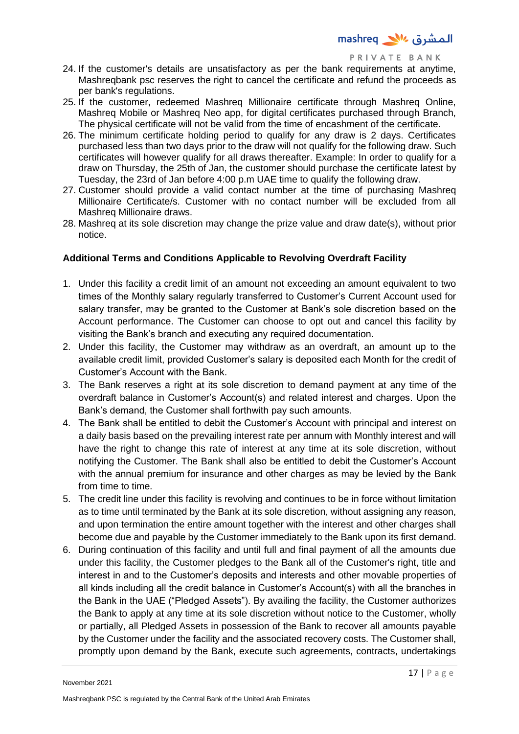- 24. If the customer's details are unsatisfactory as per the bank requirements at anytime, Mashreqbank psc reserves the right to cancel the certificate and refund the proceeds as per bank's regulations.
- 25. If the customer, redeemed Mashreq Millionaire certificate through Mashreq Online, Mashreq Mobile or Mashreq Neo app, for digital certificates purchased through Branch, The physical certificate will not be valid from the time of encashment of the certificate.
- 26. The minimum certificate holding period to qualify for any draw is 2 days. Certificates purchased less than two days prior to the draw will not qualify for the following draw. Such certificates will however qualify for all draws thereafter. Example: In order to qualify for a draw on Thursday, the 25th of Jan, the customer should purchase the certificate latest by Tuesday, the 23rd of Jan before 4:00 p.m UAE time to qualify the following draw.
- 27. Customer should provide a valid contact number at the time of purchasing Mashreq Millionaire Certificate/s. Customer with no contact number will be excluded from all Mashreq Millionaire draws.
- 28. Mashreq at its sole discretion may change the prize value and draw date(s), without prior notice.

# **Additional Terms and Conditions Applicable to Revolving Overdraft Facility**

- 1. Under this facility a credit limit of an amount not exceeding an amount equivalent to two times of the Monthly salary regularly transferred to Customer's Current Account used for salary transfer, may be granted to the Customer at Bank's sole discretion based on the Account performance. The Customer can choose to opt out and cancel this facility by visiting the Bank's branch and executing any required documentation.
- 2. Under this facility, the Customer may withdraw as an overdraft, an amount up to the available credit limit, provided Customer's salary is deposited each Month for the credit of Customer's Account with the Bank.
- 3. The Bank reserves a right at its sole discretion to demand payment at any time of the overdraft balance in Customer's Account(s) and related interest and charges. Upon the Bank's demand, the Customer shall forthwith pay such amounts.
- 4. The Bank shall be entitled to debit the Customer's Account with principal and interest on a daily basis based on the prevailing interest rate per annum with Monthly interest and will have the right to change this rate of interest at any time at its sole discretion, without notifying the Customer. The Bank shall also be entitled to debit the Customer's Account with the annual premium for insurance and other charges as may be levied by the Bank from time to time.
- 5. The credit line under this facility is revolving and continues to be in force without limitation as to time until terminated by the Bank at its sole discretion, without assigning any reason, and upon termination the entire amount together with the interest and other charges shall become due and payable by the Customer immediately to the Bank upon its first demand.
- 6. During continuation of this facility and until full and final payment of all the amounts due under this facility, the Customer pledges to the Bank all of the Customer's right, title and interest in and to the Customer's deposits and interests and other movable properties of all kinds including all the credit balance in Customer's Account(s) with all the branches in the Bank in the UAE ("Pledged Assets"). By availing the facility, the Customer authorizes the Bank to apply at any time at its sole discretion without notice to the Customer, wholly or partially, all Pledged Assets in possession of the Bank to recover all amounts payable by the Customer under the facility and the associated recovery costs. The Customer shall, promptly upon demand by the Bank, execute such agreements, contracts, undertakings